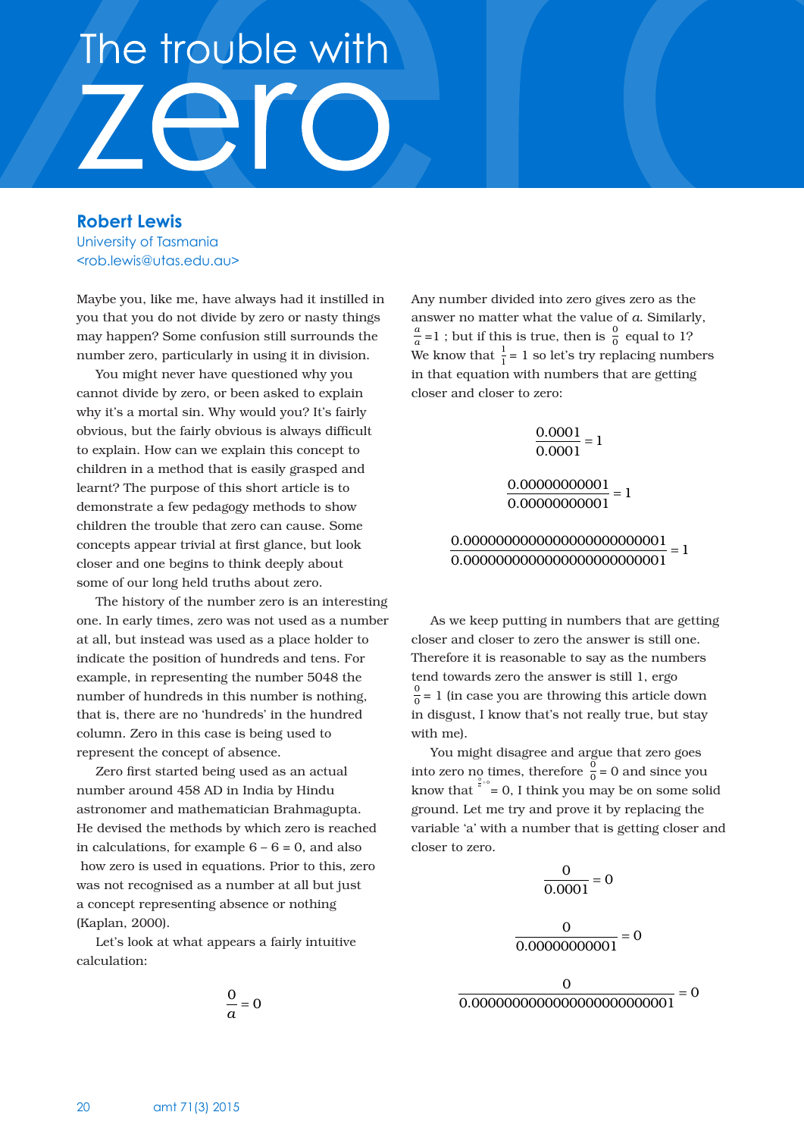## The trouble with

**Robert Lewis** University of Tasmania <rob.lewis@utas.edu.au>

Maybe you, like me, have always had it instilled in you that you do not divide by zero or nasty things may happen? Some confusion still surrounds the number zero, particularly in using it in division.

You might never have questioned why you cannot divide by zero, or been asked to explain why it's a mortal sin. Why would you? It's fairly obvious, but the fairly obvious is always difficult to explain. How can we explain this concept to children in a method that is easily grasped and learnt? The purpose of this short article is to demonstrate a few pedagogy methods to show children the trouble that zero can cause. Some concepts appear trivial at first glance, but look closer and one begins to think deeply about some of our long held truths about zero.

The history of the number zero is an interesting one. In early times, zero was not used as a number at all, but instead was used as a place holder to indicate the position of hundreds and tens. For example, in representing the number 5048 the number of hundreds in this number is nothing, that is, there are no 'hundreds' in the hundred column. Zero in this case is being used to represent the concept of absence.

Zero first started being used as an actual number around 458 AD in India by Hindu astronomer and mathematician Brahmagupta. He devised the methods by which zero is reached in calculations, for example  $6 - 6 = 0$ , and also how zero is used in equations. Prior to this, zero was not recognised as a number at all but just a concept representing absence or nothing (Kaplan, 2000).

Let's look at what appears a fairly intuitive calculation:

$$
\frac{0}{a} = 0
$$

Any number divided into zero gives zero as the answer no matter what the value of *a*. Similarly,  $\frac{a}{a}$  =1 ; but if this is true, then is  $\frac{0}{0}$  equal to 1? We know that  $\frac{1}{1}$  = 1 so let's try replacing numbers in that equation with numbers that are getting closer and closer to zero:

$$
\frac{0.0001}{0.0001} = 1
$$

 $\frac{0.00000000001}{0.000000000001} = 1$ 

0.0000000000000000000000001 0.0000000000000000000000001 <sup>=</sup> <sup>1</sup>

As we keep putting in numbers that are getting closer and closer to zero the answer is still one. Therefore it is reasonable to say as the numbers tend towards zero the answer is still 1, ergo  $\frac{0}{0}$  = 1 (in case you are throwing this article down in disgust, I know that's not really true, but stay with me).

You might disagree and argue that zero goes into zero no times, therefore  $\frac{0}{0}$  = 0 and since you know that  $\int_{a}^{\frac{a}{a}=0}$  = 0, I think you may be on some solid ground. Let me try and prove it by replacing the variable 'a' with a number that is getting closer and closer to zero.

$$
\frac{0}{0.0001} = 0
$$

$$
\frac{0}{0.00000000001} = 0
$$

0 0.0000000000000000000000001 <sup>=</sup> <sup>0</sup>